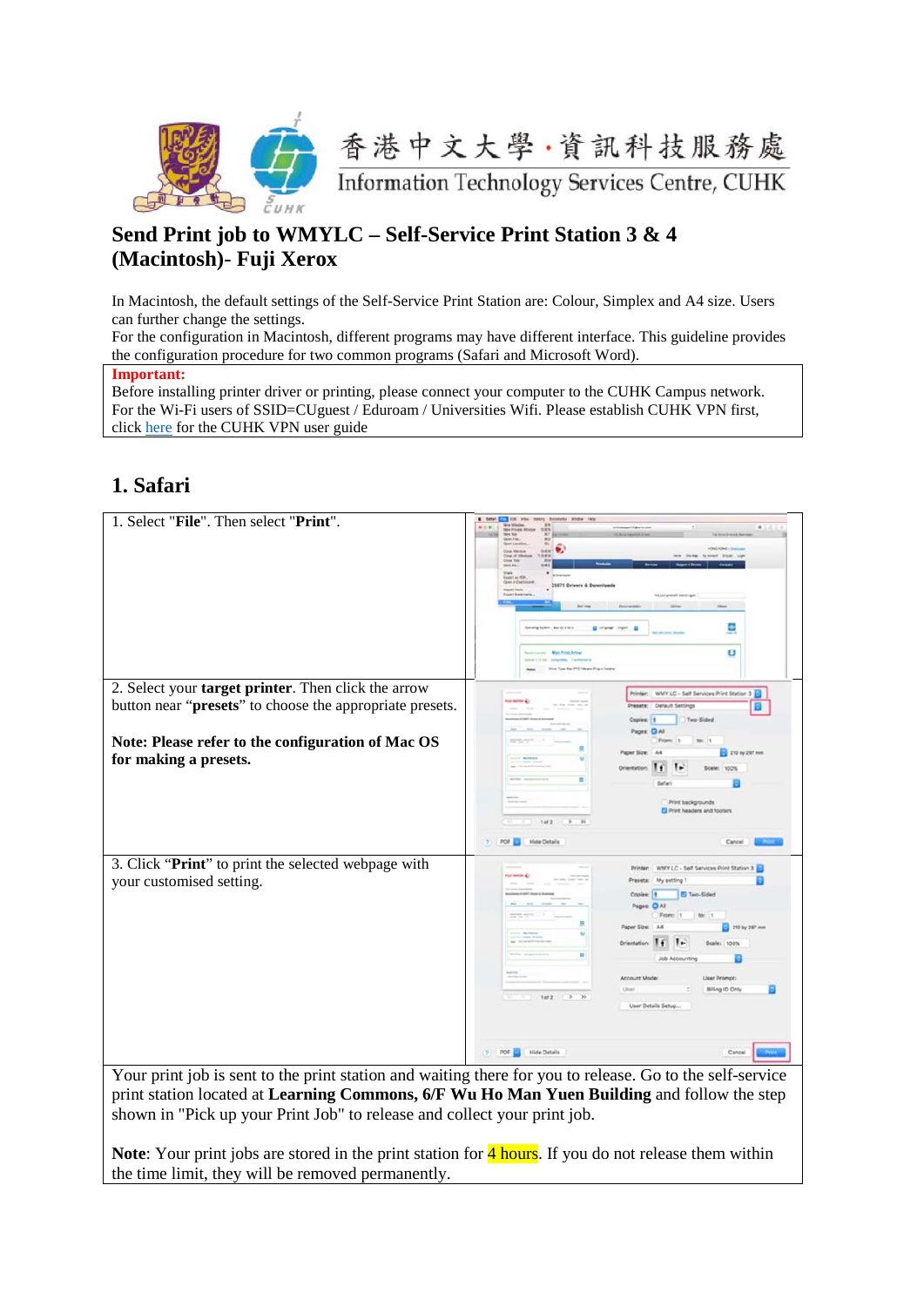

## **Send Print job to WMYLC – Self-Service Print Station 3 & 4 (Macintosh)**- **Fuji Xerox**

In Macintosh, the default settings of the Self-Service Print Station are: Colour, Simplex and A4 size. Users can further change the settings.

For the configuration in Macintosh, different programs may have different interface. This guideline provides the configuration procedure for two common programs (Safari and Microsoft Word).

## **Important:**

Before installing printer driver or printing, please connect your computer to the CUHK Campus network. For the Wi-Fi users of SSID=CUguest / Eduroam / Universities Wifi. Please establish CUHK VPN first, click [here](http://www.itsc.cuhk.edu.hk/en-gb/all-it/wifi-and-network/cuhk-vpn) for the CUHK VPN user guide

## **1. Safari**

| 1. Select "File". Then select "Print".                                                                   | <br><b>25571 Drivers &amp; Downloads</b><br>œ<br>$\sigma$             |  |  |
|----------------------------------------------------------------------------------------------------------|-----------------------------------------------------------------------|--|--|
| 2. Select your <b>target printer</b> . Then click the arrow                                              | WMY LC - Self Services Print Station 3                                |  |  |
| button near " <b>presets</b> " to choose the appropriate presets.                                        | Two-Sided<br>Copies:<br>Pages: C All                                  |  |  |
| Note: Please refer to the configuration of Mac OS                                                        | From: 1                                                               |  |  |
| for making a presets.                                                                                    | Paper Size: A4<br>210 by 297 mm<br>Driantation                        |  |  |
|                                                                                                          |                                                                       |  |  |
|                                                                                                          | Print backgrounds                                                     |  |  |
|                                                                                                          | <sup>2</sup> Print headers and footers<br>$1$ of $2$<br>$\rightarrow$ |  |  |
|                                                                                                          |                                                                       |  |  |
|                                                                                                          | POF <b>B</b> Hide Details<br>Cancel                                   |  |  |
| 3. Click "Print" to print the selected webpage with                                                      | WMY LC - Self Services Print Station 3<br><b>CALIFORNIA &amp;</b>     |  |  |
| your customised setting.                                                                                 | My setting 1<br><b>El Two-Sided</b><br>Coolee:                        |  |  |
|                                                                                                          | Pages: C All                                                          |  |  |
|                                                                                                          | From 1<br>Paper Size: A&<br>710 by 267 mm                             |  |  |
|                                                                                                          | Orientation:                                                          |  |  |
|                                                                                                          |                                                                       |  |  |
|                                                                                                          | <b>Anneunt Mode</b><br>Joen Promot:                                   |  |  |
|                                                                                                          | Billing ID Only<br>- 5<br>$1$ of $2$<br>$\mathbf{v}$                  |  |  |
|                                                                                                          | User Details Setup.                                                   |  |  |
|                                                                                                          |                                                                       |  |  |
|                                                                                                          | POF Hide Details<br>2.1<br>Cancel                                     |  |  |
| Your print job is sent to the print station and waiting there for you to release. Go to the self-service |                                                                       |  |  |
| print station located at Learning Commons, 6/F Wu Ho Man Yuen Building and follow the step               |                                                                       |  |  |
| shown in "Pick up your Print Job" to release and collect your print job.                                 |                                                                       |  |  |

Note: Your print jobs are stored in the print station for **4 hours**. If you do not release them within the time limit, they will be removed permanently.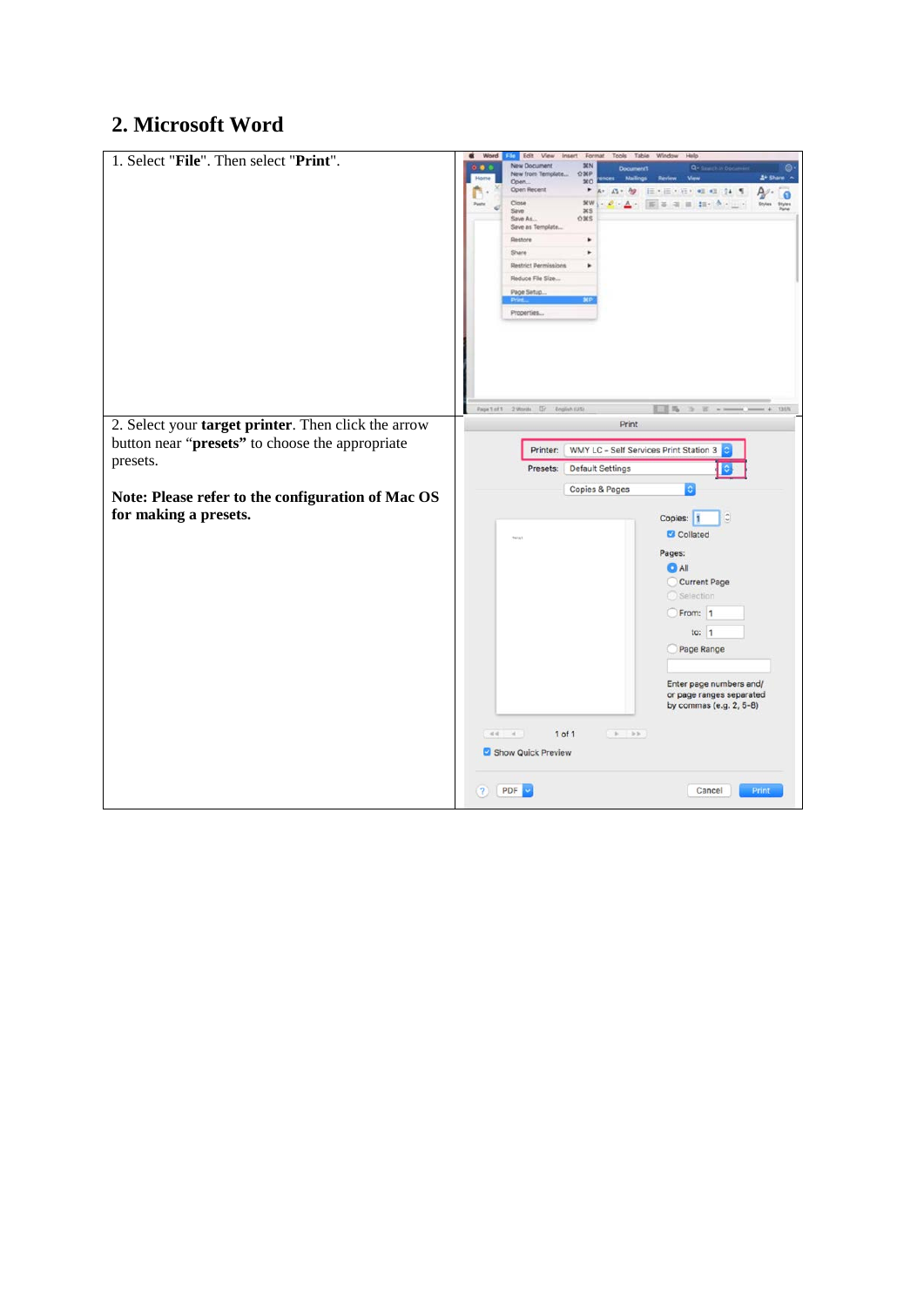## **2. Microsoft Word**

| 1. Select "File". Then select "Print".                                                                                                                                                           | View<br>Help<br>Word<br>Edit<br><b>Insert</b><br>Format<br>Tools<br>Table<br>Window<br>$\bullet$<br>XN<br>New Document<br>a.<br>☆ NP<br>New from Template<br><b>Z+ Share</b><br><b>XO</b><br>Open<br>Open Recent<br>٠<br>A <sub>0</sub><br>田上田大石村 相 相当体<br>$A$ .<br>$\bullet$<br><b>SEW</b><br>$= 10 - 4$<br>Close<br>Styles<br>Styles<br>Pane<br>$x_{S}$<br>Save.<br>$0$ MS<br>Save As<br>Save as Template<br>Restore<br>٠<br>Share<br>٠<br><b>Restrict Permissions</b><br>Reduce File Size<br>Page Setup.<br>Properties |
|--------------------------------------------------------------------------------------------------------------------------------------------------------------------------------------------------|---------------------------------------------------------------------------------------------------------------------------------------------------------------------------------------------------------------------------------------------------------------------------------------------------------------------------------------------------------------------------------------------------------------------------------------------------------------------------------------------------------------------------|
| 2. Select your target printer. Then click the arrow<br>button near "presets" to choose the appropriate<br>presets.<br>Note: Please refer to the configuration of Mac OS<br>for making a presets. | Page 1 of 1 2 Words (2 English (US)<br>135%<br>Print<br>WMY LC - Self Services Print Station 3<br>Printer:<br><b>Default Settings</b><br>Presets:<br>Copies & Pages<br>٥<br>$\mathbb{C}$<br>Copies: 1<br>Collated<br>Pages:<br><b>O</b> All<br>Current Page<br>Selection<br>From: 1<br>to: $1$<br>Page Range<br>Enter page numbers and/<br>or page ranges separated<br>by commas (e.g. 2, 5-8)<br>$-44 - 4 -$<br>$1$ of $1$<br>Show Quick Preview<br>PDF<br>Cancel<br>Print<br>$\left( 2\right)$                          |